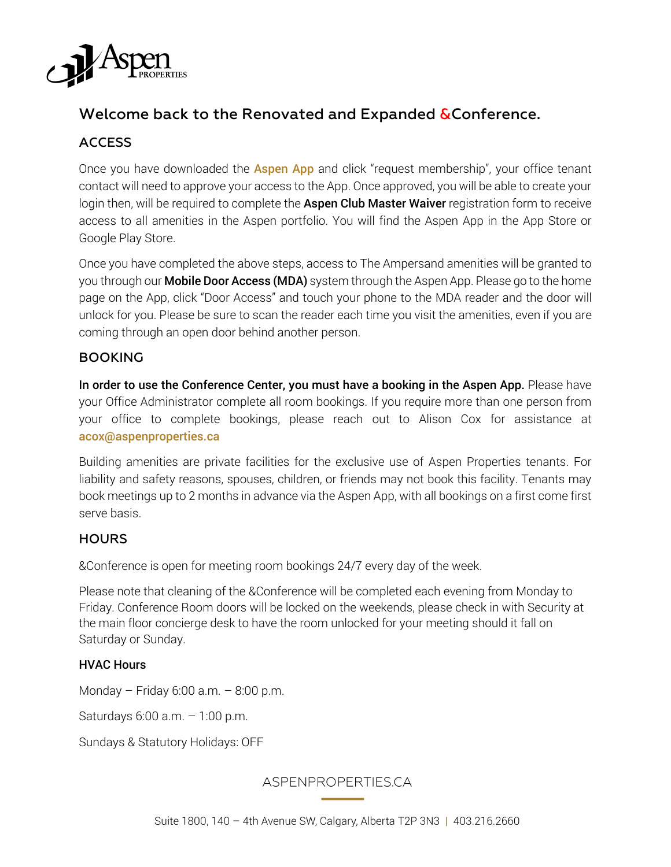

# Welcome back to the Renovated and Expanded & Conference.

# ACCESS

Once you have downloaded the **Aspen App** and click "request membership", your office tenant contact will need to approve your access to the App. Once approved, you will be able to create your login then, will be required to complete the Aspen Club Master Waiver registration form to receive access to all amenities in the Aspen portfolio. You will find the Aspen App in the App Store or Google Play Store.

Once you have completed the above steps, access to The Ampersand amenities will be granted to you through our **Mobile Door Access (MDA)** system through the Aspen App. Please go to the home page on the App, click "Door Access" and touch your phone to the MDA reader and the door will unlock for you. Please be sure to scan the reader each time you visit the amenities, even if you are coming through an open door behind another person.

#### BOOKING

In order to use the Conference Center, you must have a booking in the Aspen App. Please have your Office Administrator complete all room bookings. If you require more than one person from your office to complete bookings, please reach out to Alison Cox for assistance at acox@aspenproperties.ca

Building amenities are private facilities for the exclusive use of Aspen Properties tenants. For liability and safety reasons, spouses, children, or friends may not book this facility. Tenants may book meetings up to 2 months in advance via the Aspen App, with all bookings on a first come first serve basis.

## **HOURS**

&Conference is open for meeting room bookings 24/7 every day of the week.

Please note that cleaning of the &Conference will be completed each evening from Monday to Friday. Conference Room doors will be locked on the weekends, please check in with Security at the main floor concierge desk to have the room unlocked for your meeting should it fall on Saturday or Sunday.

#### HVAC Hours

Monday – Friday 6:00 a.m. – 8:00 p.m.

Saturdays 6:00 a.m. – 1:00 p.m.

Sundays & Statutory Holidays: OFF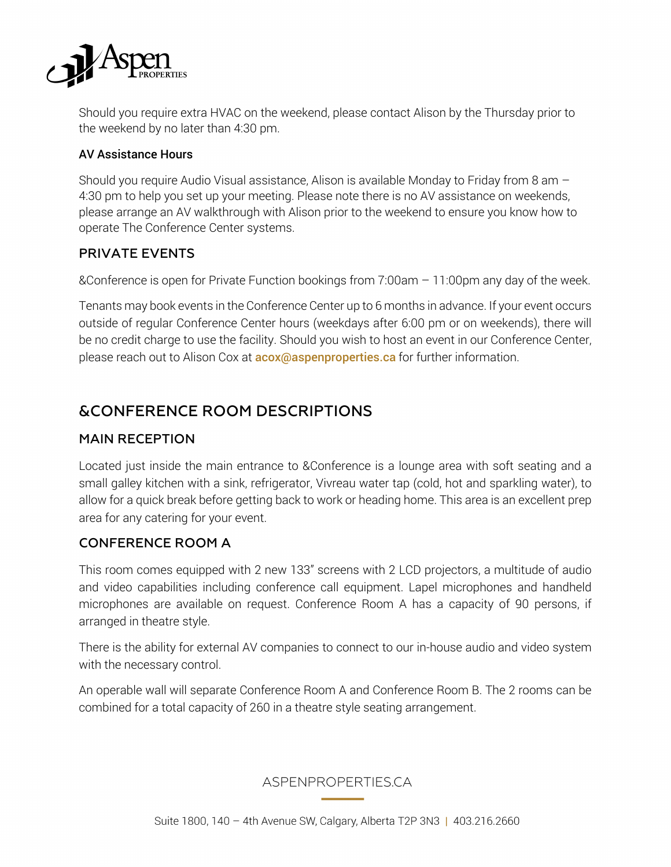

Should you require extra HVAC on the weekend, please contact Alison by the Thursday prior to the weekend by no later than 4:30 pm.

#### AV Assistance Hours

Should you require Audio Visual assistance, Alison is available Monday to Friday from 8 am – 4:30 pm to help you set up your meeting. Please note there is no AV assistance on weekends, please arrange an AV walkthrough with Alison prior to the weekend to ensure you know how to operate The Conference Center systems.

## PRIVATE EVENTS

&Conference is open for Private Function bookings from 7:00am – 11:00pm any day of the week.

Tenants may book events in the Conference Center up to 6 months in advance. If your event occurs outside of regular Conference Center hours (weekdays after 6:00 pm or on weekends), there will be no credit charge to use the facility. Should you wish to host an event in our Conference Center, please reach out to Alison Cox at **acox@aspenproperties.ca** for further information.

# &CONFERENCE ROOM DESCRIPTIONS

#### MAIN RECEPTION

Located just inside the main entrance to &Conference is a lounge area with soft seating and a small galley kitchen with a sink, refrigerator, Vivreau water tap (cold, hot and sparkling water), to allow for a quick break before getting back to work or heading home. This area is an excellent prep area for any catering for your event.

#### CONFERENCE ROOM A

This room comes equipped with 2 new 133" screens with 2 LCD projectors, a multitude of audio and video capabilities including conference call equipment. Lapel microphones and handheld microphones are available on request. Conference Room A has a capacity of 90 persons, if arranged in theatre style.

There is the ability for external AV companies to connect to our in-house audio and video system with the necessary control.

An operable wall will separate Conference Room A and Conference Room B. The 2 rooms can be combined for a total capacity of 260 in a theatre style seating arrangement.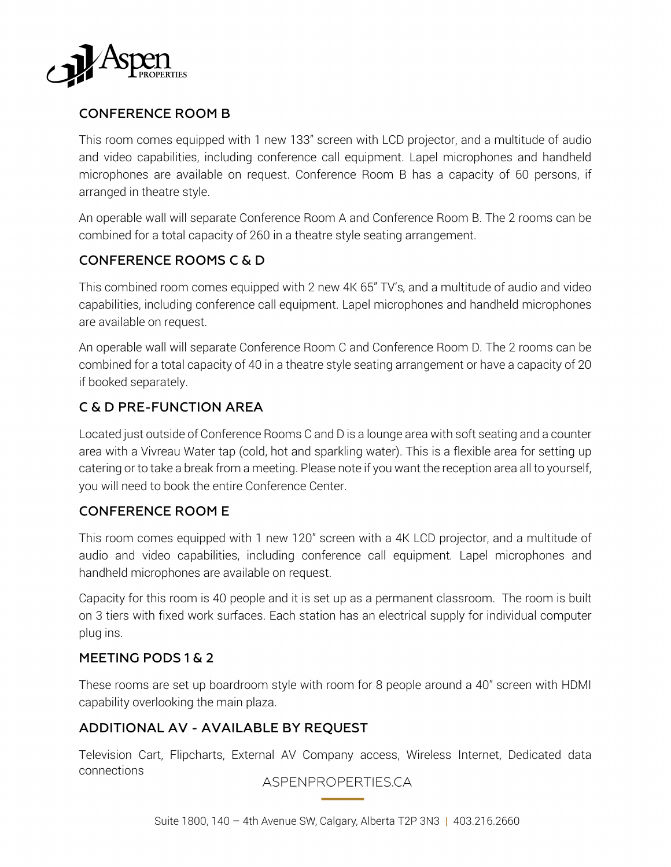

## CONFERENCE ROOM B

This room comes equipped with 1 new 133" screen with LCD projector, and a multitude of audio and video capabilities, including conference call equipment. Lapel microphones and handheld microphones are available on request. Conference Room B has a capacity of 60 persons, if arranged in theatre style.

An operable wall will separate Conference Room A and Conference Room B. The 2 rooms can be combined for a total capacity of 260 in a theatre style seating arrangement.

## CONFERENCE ROOMS C & D

This combined room comes equipped with 2 new 4K 65" TV's*,* and a multitude of audio and video capabilities, including conference call equipment. Lapel microphones and handheld microphones are available on request.

An operable wall will separate Conference Room C and Conference Room D. The 2 rooms can be combined for a total capacity of 40 in a theatre style seating arrangement or have a capacity of 20 if booked separately.

## C & D PRE-FUNCTION AREA

Located just outside of Conference Rooms C and D is a lounge area with soft seating and a counter area with a Vivreau Water tap (cold, hot and sparkling water). This is a flexible area for setting up catering or to take a break from a meeting. Please note if you want the reception area all to yourself, you will need to book the entire Conference Center.

## CONFERENCE ROOM E

This room comes equipped with 1 new 120" screen with a 4K LCD projector, and a multitude of audio and video capabilities, including conference call equipment*.* Lapel microphones and handheld microphones are available on request.

Capacity for this room is 40 people and it is set up as a permanent classroom. The room is built on 3 tiers with fixed work surfaces. Each station has an electrical supply for individual computer plug ins.

## MEETING PODS 1 & 2

These rooms are set up boardroom style with room for 8 people around a 40" screen with HDMI capability overlooking the main plaza.

## ADDITIONAL AV - AVAILABLE BY REQUEST

Television Cart, Flipcharts, External AV Company access, Wireless Internet, Dedicated data connections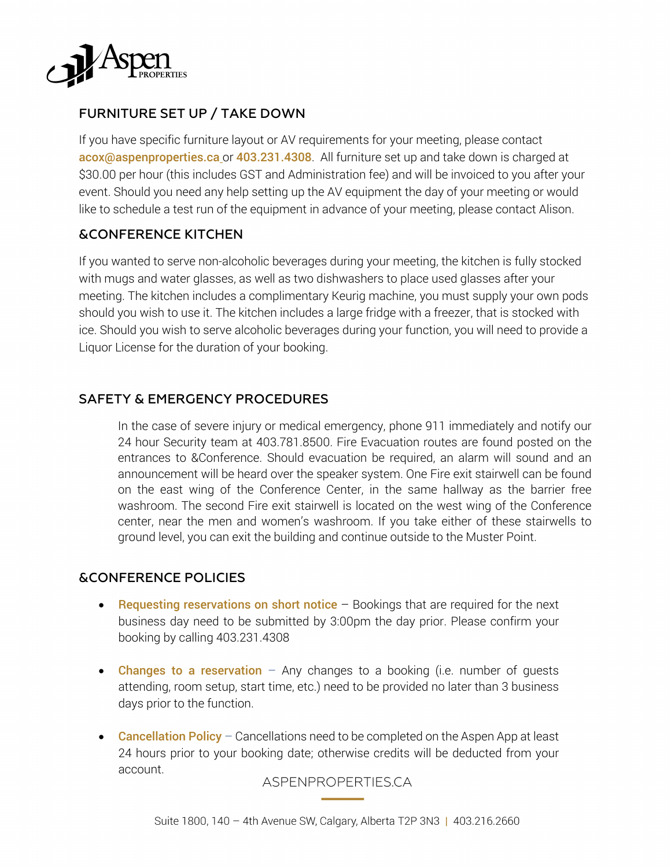

# FURNITURE SET UP / TAKE DOWN

If you have specific furniture layout or AV requirements for your meeting, please contact acox@aspenproperties.ca or 403.231.4308. All furniture set up and take down is charged at \$30.00 per hour (this includes GST and Administration fee) and will be invoiced to you after your event. Should you need any help setting up the AV equipment the day of your meeting or would like to schedule a test run of the equipment in advance of your meeting, please contact Alison.

## &CONFERENCE KITCHEN

If you wanted to serve non-alcoholic beverages during your meeting, the kitchen is fully stocked with mugs and water glasses, as well as two dishwashers to place used glasses after your meeting. The kitchen includes a complimentary Keurig machine, you must supply your own pods should you wish to use it. The kitchen includes a large fridge with a freezer, that is stocked with ice. Should you wish to serve alcoholic beverages during your function, you will need to provide a Liquor License for the duration of your booking.

## SAFETY & EMERGENCY PROCEDURES

In the case of severe injury or medical emergency, phone 911 immediately and notify our 24 hour Security team at 403.781.8500. Fire Evacuation routes are found posted on the entrances to &Conference. Should evacuation be required, an alarm will sound and an announcement will be heard over the speaker system. One Fire exit stairwell can be found on the east wing of the Conference Center, in the same hallway as the barrier free washroom. The second Fire exit stairwell is located on the west wing of the Conference center, near the men and women's washroom. If you take either of these stairwells to ground level, you can exit the building and continue outside to the Muster Point.

## &CONFERENCE POLICIES

- Requesting reservations on short notice  $-$  Bookings that are required for the next business day need to be submitted by 3:00pm the day prior. Please confirm your booking by calling 403.231.4308
- Changes to a reservation  $-$  Any changes to a booking (i.e. number of quests attending, room setup, start time, etc.) need to be provided no later than 3 business days prior to the function.
- Cancellation Policy Cancellations need to be completed on the Aspen App at least 24 hours prior to your booking date; otherwise credits will be deducted from your account.